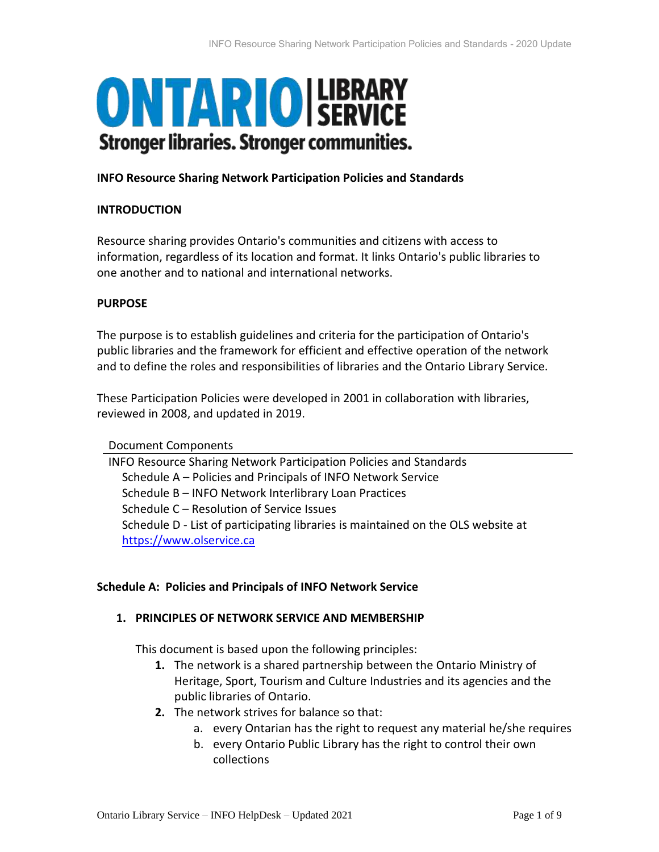# **ONTARIO ISERVICE Stronger libraries. Stronger communities.**

## **INFO Resource Sharing Network Participation Policies and Standards**

## **INTRODUCTION**

Resource sharing provides Ontario's communities and citizens with access to information, regardless of its location and format. It links Ontario's public libraries to one another and to national and international networks.

#### **PURPOSE**

The purpose is to establish guidelines and criteria for the participation of Ontario's public libraries and the framework for efficient and effective operation of the network and to define the roles and responsibilities of libraries and the Ontario Library Service.

These Participation Policies were developed in 2001 in collaboration with libraries, reviewed in 2008, and updated in 2019.

Document Components

INFO Resource Sharing Network Participation Policies and Standards Schedule A – Policies and Principals of INFO Network Service Schedule B – INFO Network Interlibrary Loan Practices Schedule C – Resolution of Service Issues Schedule D - List of participating libraries is maintained on the OLS website at [https://www.olservice.ca](https://www.olservice.ca/)

## **Schedule A: Policies and Principals of INFO Network Service**

## **1. PRINCIPLES OF NETWORK SERVICE AND MEMBERSHIP**

This document is based upon the following principles:

- **1.** The network is a shared partnership between the Ontario Ministry of Heritage, Sport, Tourism and Culture Industries and its agencies and the public libraries of Ontario.
- **2.** The network strives for balance so that:
	- a. every Ontarian has the right to request any material he/she requires
	- b. every Ontario Public Library has the right to control their own collections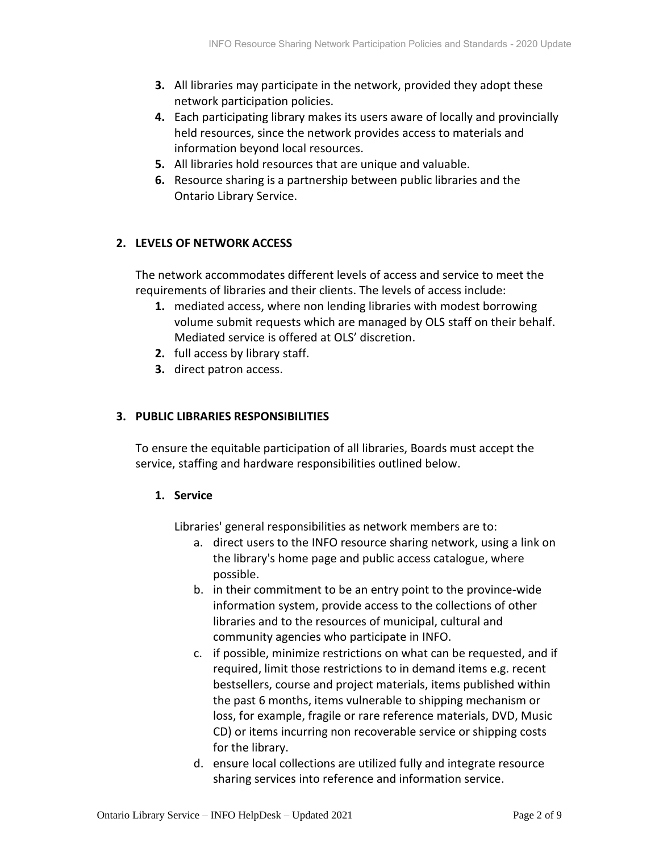- **3.** All libraries may participate in the network, provided they adopt these network participation policies.
- **4.** Each participating library makes its users aware of locally and provincially held resources, since the network provides access to materials and information beyond local resources.
- **5.** All libraries hold resources that are unique and valuable.
- **6.** Resource sharing is a partnership between public libraries and the Ontario Library Service.

# **2. LEVELS OF NETWORK ACCESS**

The network accommodates different levels of access and service to meet the requirements of libraries and their clients. The levels of access include:

- **1.** mediated access, where non lending libraries with modest borrowing volume submit requests which are managed by OLS staff on their behalf. Mediated service is offered at OLS' discretion.
- **2.** full access by library staff.
- **3.** direct patron access.

# **3. PUBLIC LIBRARIES RESPONSIBILITIES**

To ensure the equitable participation of all libraries, Boards must accept the service, staffing and hardware responsibilities outlined below.

## **1. Service**

Libraries' general responsibilities as network members are to:

- a. direct users to the INFO resource sharing network, using a link on the library's home page and public access catalogue, where possible.
- b. in their commitment to be an entry point to the province-wide information system, provide access to the collections of other libraries and to the resources of municipal, cultural and community agencies who participate in INFO.
- c. if possible, minimize restrictions on what can be requested, and if required, limit those restrictions to in demand items e.g. recent bestsellers, course and project materials, items published within the past 6 months, items vulnerable to shipping mechanism or loss, for example, fragile or rare reference materials, DVD, Music CD) or items incurring non recoverable service or shipping costs for the library.
- d. ensure local collections are utilized fully and integrate resource sharing services into reference and information service.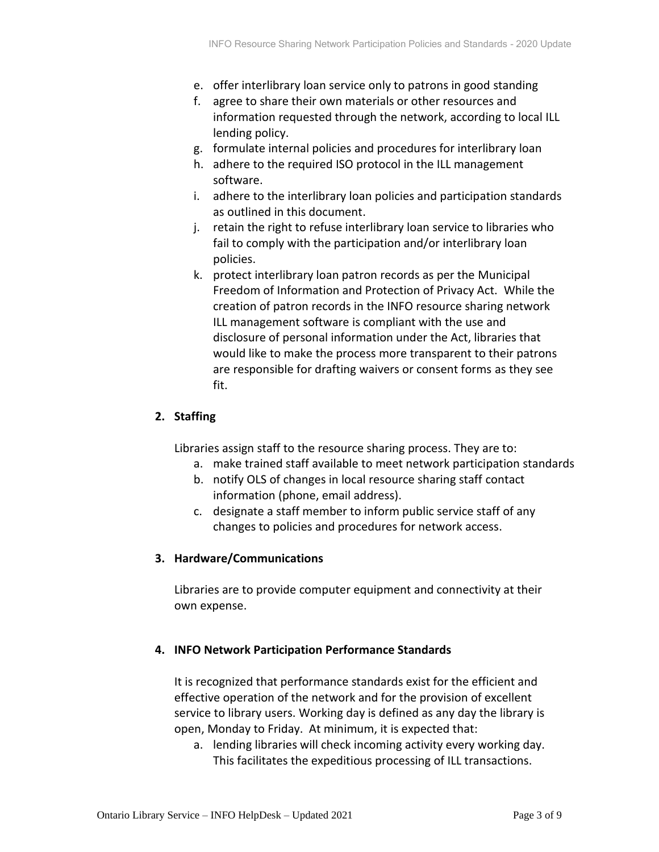- e. offer interlibrary loan service only to patrons in good standing
- f. agree to share their own materials or other resources and information requested through the network, according to local ILL lending policy.
- g. formulate internal policies and procedures for interlibrary loan
- h. adhere to the required ISO protocol in the ILL management software.
- i. adhere to the interlibrary loan policies and participation standards as outlined in this document.
- j. retain the right to refuse interlibrary loan service to libraries who fail to comply with the participation and/or interlibrary loan policies.
- k. protect interlibrary loan patron records as per the Municipal Freedom of Information and Protection of Privacy Act. While the creation of patron records in the INFO resource sharing network ILL management software is compliant with the use and disclosure of personal information under the Act, libraries that would like to make the process more transparent to their patrons are responsible for drafting waivers or consent forms as they see fit.

# **2. Staffing**

Libraries assign staff to the resource sharing process. They are to:

- a. make trained staff available to meet network participation standards
- b. notify OLS of changes in local resource sharing staff contact information (phone, email address).
- c. designate a staff member to inform public service staff of any changes to policies and procedures for network access.

## **3. Hardware/Communications**

Libraries are to provide computer equipment and connectivity at their own expense.

## **4. INFO Network Participation Performance Standards**

It is recognized that performance standards exist for the efficient and effective operation of the network and for the provision of excellent service to library users. Working day is defined as any day the library is open, Monday to Friday. At minimum, it is expected that:

a. lending libraries will check incoming activity every working day. This facilitates the expeditious processing of ILL transactions.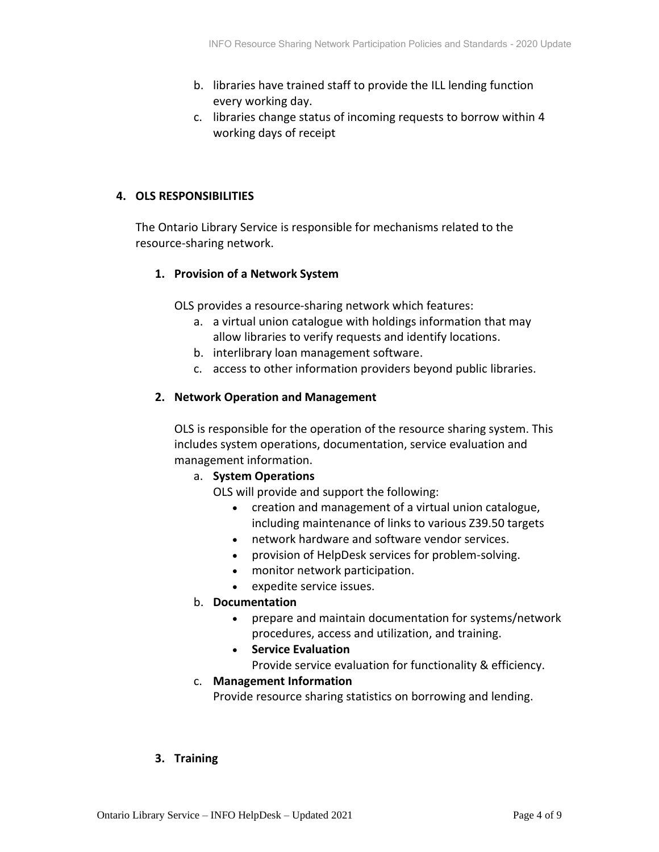- b. libraries have trained staff to provide the ILL lending function every working day.
- c. libraries change status of incoming requests to borrow within 4 working days of receipt

# **4. OLS RESPONSIBILITIES**

The Ontario Library Service is responsible for mechanisms related to the resource-sharing network.

# **1. Provision of a Network System**

OLS provides a resource-sharing network which features:

- a. a virtual union catalogue with holdings information that may allow libraries to verify requests and identify locations.
- b. interlibrary loan management software.
- c. access to other information providers beyond public libraries.

## **2. Network Operation and Management**

OLS is responsible for the operation of the resource sharing system. This includes system operations, documentation, service evaluation and management information.

## a. **System Operations**

OLS will provide and support the following:

- creation and management of a virtual union catalogue, including maintenance of links to various Z39.50 targets
- network hardware and software vendor services.
- provision of HelpDesk services for problem-solving.
- monitor network participation.
- expedite service issues.
- b. **Documentation**
	- prepare and maintain documentation for systems/network procedures, access and utilization, and training.
	- **Service Evaluation**

Provide service evaluation for functionality & efficiency.

## c. **Management Information**

Provide resource sharing statistics on borrowing and lending.

## **3. Training**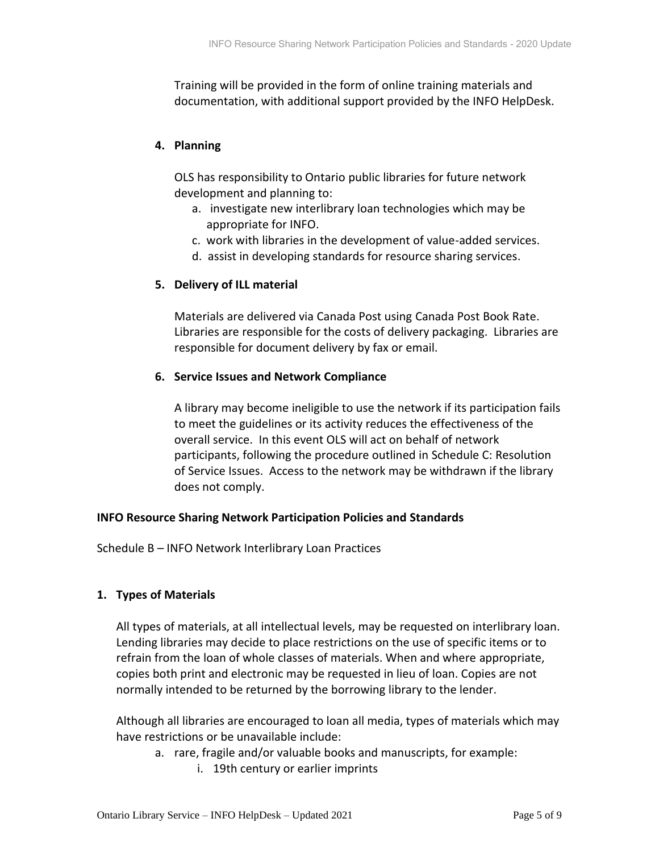Training will be provided in the form of online training materials and documentation, with additional support provided by the INFO HelpDesk.

# **4. Planning**

OLS has responsibility to Ontario public libraries for future network development and planning to:

- a. investigate new interlibrary loan technologies which may be appropriate for INFO.
- c. work with libraries in the development of value-added services.
- d. assist in developing standards for resource sharing services.

# **5. Delivery of ILL material**

Materials are delivered via Canada Post using Canada Post Book Rate. Libraries are responsible for the costs of delivery packaging. Libraries are responsible for document delivery by fax or email.

## **6. Service Issues and Network Compliance**

A library may become ineligible to use the network if its participation fails to meet the guidelines or its activity reduces the effectiveness of the overall service. In this event OLS will act on behalf of network participants, following the procedure outlined in Schedule C: Resolution of Service Issues. Access to the network may be withdrawn if the library does not comply.

## **INFO Resource Sharing Network Participation Policies and Standards**

Schedule B – INFO Network Interlibrary Loan Practices

## **1. Types of Materials**

All types of materials, at all intellectual levels, may be requested on interlibrary loan. Lending libraries may decide to place restrictions on the use of specific items or to refrain from the loan of whole classes of materials. When and where appropriate, copies both print and electronic may be requested in lieu of loan. Copies are not normally intended to be returned by the borrowing library to the lender.

Although all libraries are encouraged to loan all media, types of materials which may have restrictions or be unavailable include:

- a. rare, fragile and/or valuable books and manuscripts, for example:
	- i. 19th century or earlier imprints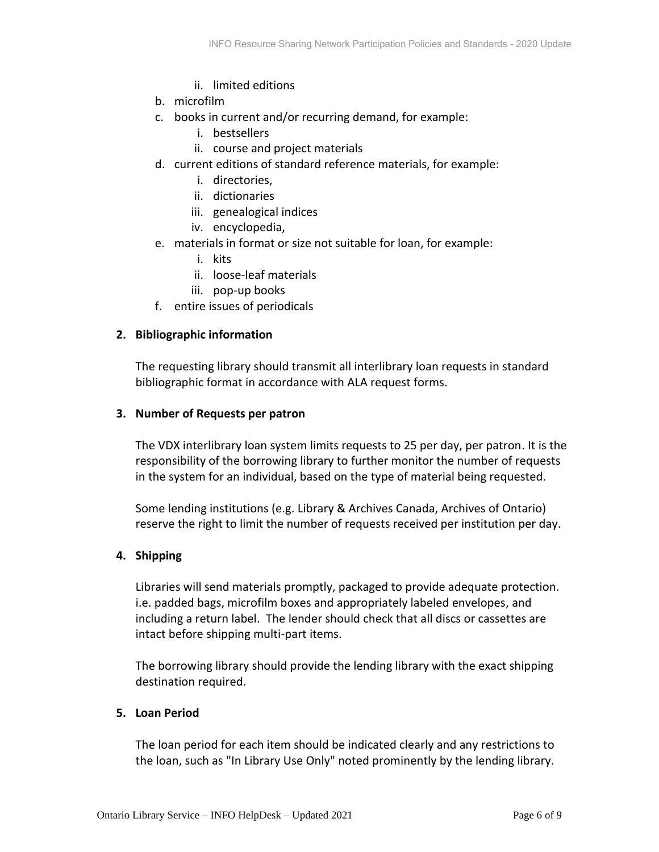- ii. limited editions
- b. microfilm
- c. books in current and/or recurring demand, for example:
	- i. bestsellers
	- ii. course and project materials
- d. current editions of standard reference materials, for example:
	- i. directories,
	- ii. dictionaries
	- iii. genealogical indices
	- iv. encyclopedia,
- e. materials in format or size not suitable for loan, for example:
	- i. kits
	- ii. loose-leaf materials
	- iii. pop-up books
- f. entire issues of periodicals

## **2. Bibliographic information**

The requesting library should transmit all interlibrary loan requests in standard bibliographic format in accordance with ALA request forms.

#### **3. Number of Requests per patron**

The VDX interlibrary loan system limits requests to 25 per day, per patron. It is the responsibility of the borrowing library to further monitor the number of requests in the system for an individual, based on the type of material being requested.

Some lending institutions (e.g. Library & Archives Canada, Archives of Ontario) reserve the right to limit the number of requests received per institution per day.

## **4. Shipping**

Libraries will send materials promptly, packaged to provide adequate protection. i.e. padded bags, microfilm boxes and appropriately labeled envelopes, and including a return label. The lender should check that all discs or cassettes are intact before shipping multi-part items.

The borrowing library should provide the lending library with the exact shipping destination required.

## **5. Loan Period**

The loan period for each item should be indicated clearly and any restrictions to the loan, such as "In Library Use Only" noted prominently by the lending library.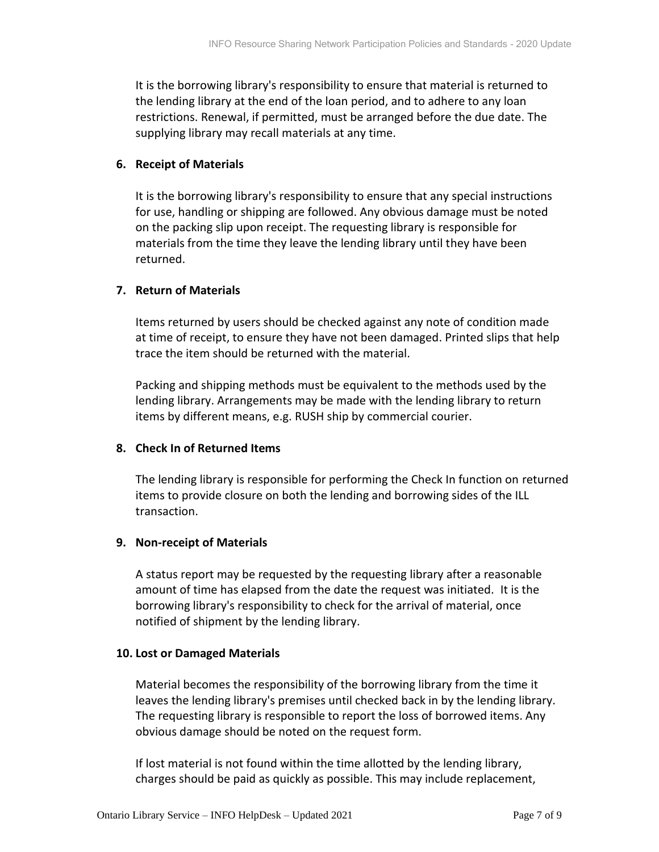It is the borrowing library's responsibility to ensure that material is returned to the lending library at the end of the loan period, and to adhere to any loan restrictions. Renewal, if permitted, must be arranged before the due date. The supplying library may recall materials at any time.

#### **6. Receipt of Materials**

It is the borrowing library's responsibility to ensure that any special instructions for use, handling or shipping are followed. Any obvious damage must be noted on the packing slip upon receipt. The requesting library is responsible for materials from the time they leave the lending library until they have been returned.

## **7. Return of Materials**

Items returned by users should be checked against any note of condition made at time of receipt, to ensure they have not been damaged. Printed slips that help trace the item should be returned with the material.

Packing and shipping methods must be equivalent to the methods used by the lending library. Arrangements may be made with the lending library to return items by different means, e.g. RUSH ship by commercial courier.

## **8. Check In of Returned Items**

The lending library is responsible for performing the Check In function on returned items to provide closure on both the lending and borrowing sides of the ILL transaction.

## **9. Non-receipt of Materials**

A status report may be requested by the requesting library after a reasonable amount of time has elapsed from the date the request was initiated. It is the borrowing library's responsibility to check for the arrival of material, once notified of shipment by the lending library.

#### **10. Lost or Damaged Materials**

Material becomes the responsibility of the borrowing library from the time it leaves the lending library's premises until checked back in by the lending library. The requesting library is responsible to report the loss of borrowed items. Any obvious damage should be noted on the request form.

If lost material is not found within the time allotted by the lending library, charges should be paid as quickly as possible. This may include replacement,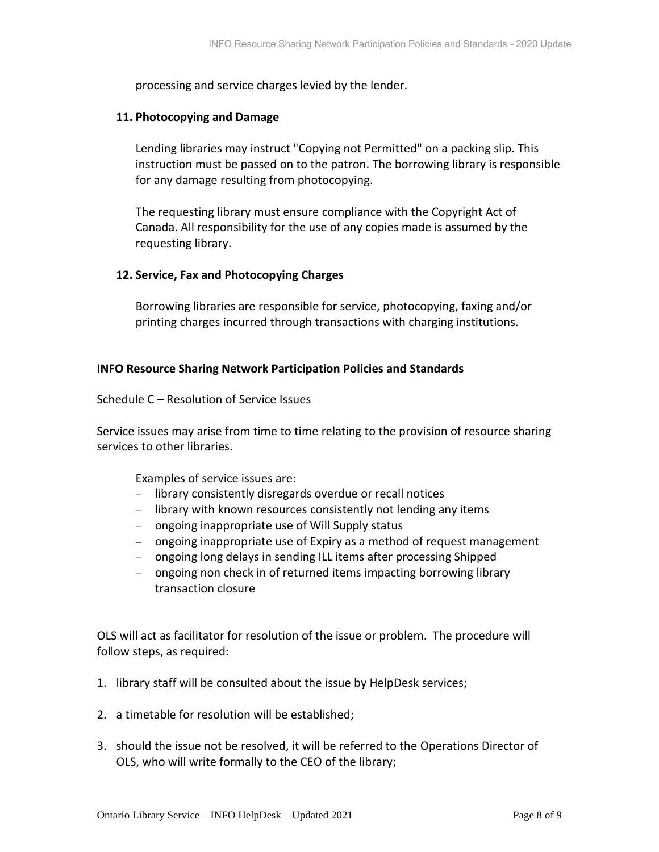processing and service charges levied by the lender.

#### **11. Photocopying and Damage**

Lending libraries may instruct "Copying not Permitted" on a packing slip. This instruction must be passed on to the patron. The borrowing library is responsible for any damage resulting from photocopying.

The requesting library must ensure compliance with the Copyright Act of Canada. All responsibility for the use of any copies made is assumed by the requesting library.

## **12. Service, Fax and Photocopying Charges**

Borrowing libraries are responsible for service, photocopying, faxing and/or printing charges incurred through transactions with charging institutions.

## **INFO Resource Sharing Network Participation Policies and Standards**

#### Schedule C – Resolution of Service Issues

Service issues may arise from time to time relating to the provision of resource sharing services to other libraries.

Examples of service issues are:

- − library consistently disregards overdue or recall notices
- − library with known resources consistently not lending any items
- − ongoing inappropriate use of Will Supply status
- − ongoing inappropriate use of Expiry as a method of request management
- − ongoing long delays in sending ILL items after processing Shipped
- − ongoing non check in of returned items impacting borrowing library transaction closure

OLS will act as facilitator for resolution of the issue or problem. The procedure will follow steps, as required:

- 1. library staff will be consulted about the issue by HelpDesk services;
- 2. a timetable for resolution will be established;
- 3. should the issue not be resolved, it will be referred to the Operations Director of OLS, who will write formally to the CEO of the library;